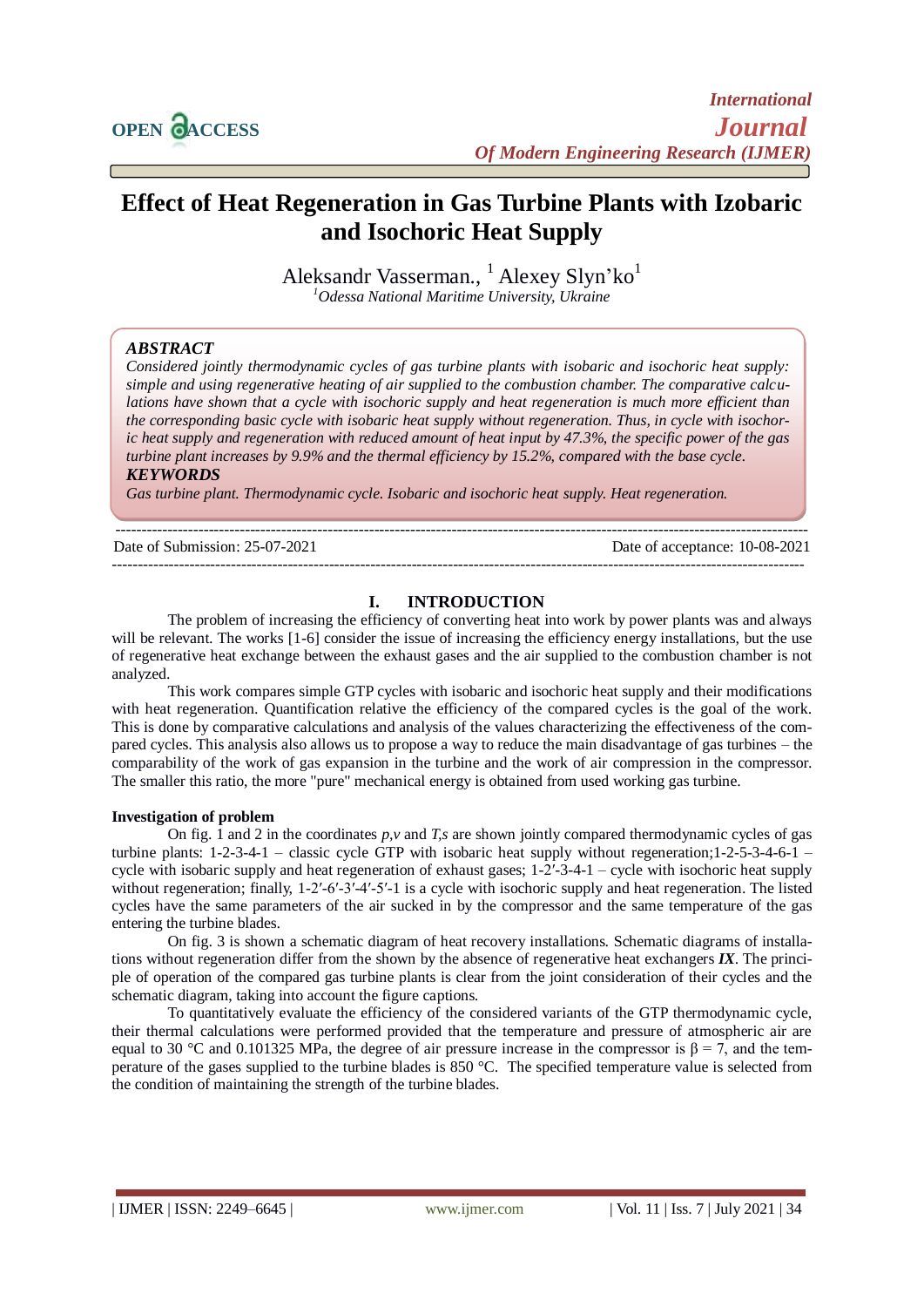

# **Effect of Heat Regeneration in Gas Turbine Plants with Izobaric and Isochoric Heat Supply**

Aleksandr Vasserman., <sup>1</sup> Alexey Slyn'ko<sup>1</sup> *<sup>1</sup>Odessa National Maritime University, Ukraine*

## *ABSTRACT*

*Considered jointly thermodynamic cycles of gas turbine plants with isobaric and isochoric heat supply: simple and using regenerative heating of air supplied to the combustion chamber. The comparative calculations have shown that a cycle with isochoric supply and heat regeneration is much more efficient than the corresponding basic cycle with isobaric heat supply without regeneration. Thus, in cycle with isochoric heat supply and regeneration with reduced amount of heat input by 47.3%, the specific power of the gas turbine plant increases by 9.9% and the thermal efficiency by 15.2%, compared with the base cycle.*

*KEYWORDS*

*Gas turbine plant. Thermodynamic cycle. Isobaric and isochoric heat supply. Heat regeneration.*

 $-1-\frac{1}{2}$ 

Date of Submission: 25-07-2021 Date of acceptance: 10-08-2021

--------------------------------------------------------------------------------------------------------------------------------------

## **I. INTRODUCTION**

The problem of increasing the efficiency of converting heat into work by power plants was and always will be relevant. The works [1-6] consider the issue of increasing the efficiency energy installations, but the use of regenerative heat exchange between the exhaust gases and the air supplied to the combustion chamber is not analyzed.

This work compares simple GTP cycles with isobaric and isochoric heat supply and their modifications with heat regeneration. Quantification relative the efficiency of the compared cycles is the goal of the work. This is done by comparative calculations and analysis of the values characterizing the effectiveness of the compared cycles. This analysis also allows us to propose a way to reduce the main disadvantage of gas turbines – the comparability of the work of gas expansion in the turbine and the work of air compression in the compressor. The smaller this ratio, the more "pure" mechanical energy is obtained from used working gas turbine.

#### **Investigation of problem**

On fig. 1 and 2 in the coordinates *p,v* and *T,s* are shown jointly compared thermodynamic cycles of gas turbine plants: 1-2-3-4-1 – classic cycle GTP with isobaric heat supply without regeneration;1-2-5-3-4-6-1 – cycle with isobaric supply and heat regeneration of exhaust gases;  $1-\overline{2}$ -3-4-1 – cycle with isochoric heat supply without regeneration; finally,  $1-2^{\prime} - 6^{\prime} - 3^{\prime} - 4^{\prime} - 5^{\prime} - 1$  is a cycle with isochoric supply and heat regeneration. The listed cycles have the same parameters of the air sucked in by the compressor and the same temperature of the gas entering the turbine blades.

On fig. 3 is shown a schematic diagram of heat recovery installations. Schematic diagrams of installations without regeneration differ from the shown by the absence of regenerative heat exchangers *IX*. The principle of operation of the compared gas turbine plants is clear from the joint consideration of their cycles and the schematic diagram, taking into account the figure captions.

To quantitatively evaluate the efficiency of the considered variants of the GTP thermodynamic cycle, their thermal calculations were performed provided that the temperature and pressure of atmospheric air are equal to 30 °C and 0.101325 MPa, the degree of air pressure increase in the compressor is  $\beta = 7$ , and the temperature of the gases supplied to the turbine blades is 850 °C. The specified temperature value is selected from the condition of maintaining the strength of the turbine blades.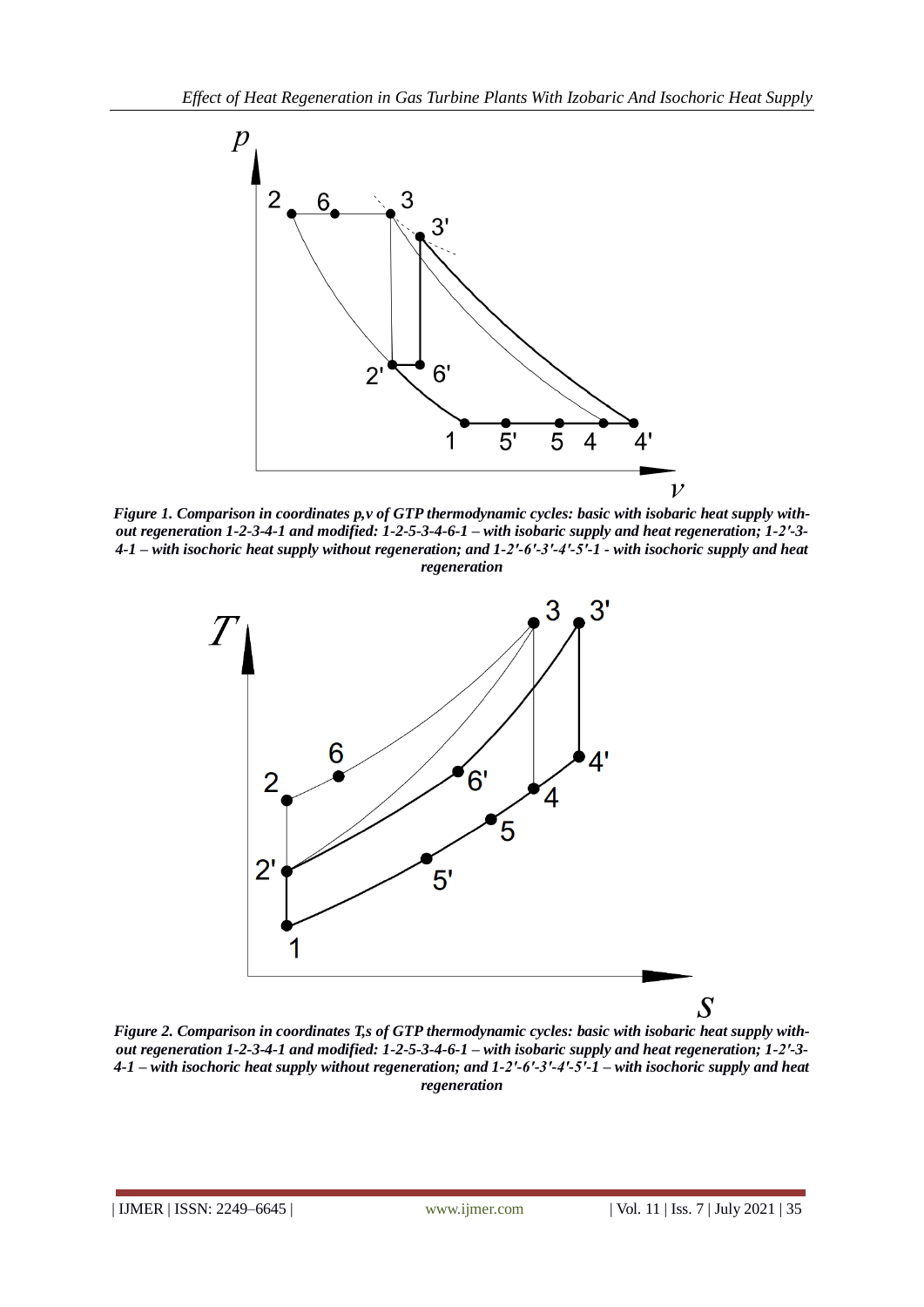

*Figure 1. Comparison in coordinates p,v of GTP thermodynamic cycles: basic with isobaric heat supply without regeneration 1-2-3-4-1 and modified: 1-2-5-3-4-6-1 – with isobaric supply and heat regeneration; 1-2′-3- 4-1 – with isochoric heat supply without regeneration; and 1-2′-6′-3′-4′-5′-1 - with isochoric supply and heat regeneration*



*Figure 2. Comparison in coordinates T,s of GTP thermodynamic cycles: basic with isobaric heat supply without regeneration 1-2-3-4-1 and modified: 1-2-5-3-4-6-1 – with isobaric supply and heat regeneration; 1-2′-3- 4-1 – with isochoric heat supply without regeneration; and 1-2′-6′-3′-4′-5′-1 – with isochoric supply and heat regeneration*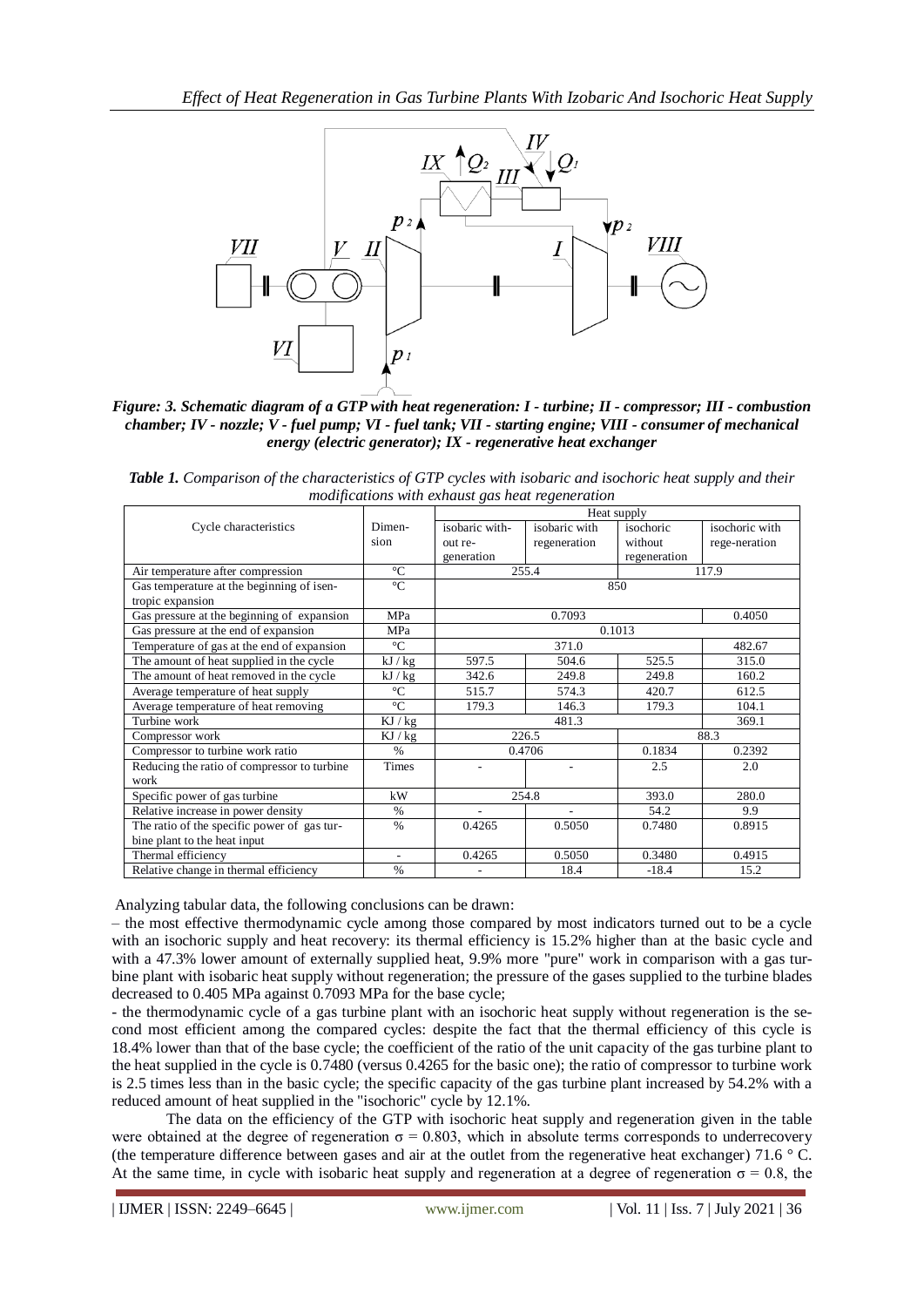

*Figure: 3. Schematic diagram of a GTP with heat regeneration: I - turbine; II - compressor; III - combustion chamber; IV - nozzle; V - fuel pump; VI - fuel tank; VII - starting engine; VIII - consumer of mechanical energy (electric generator); IX - regenerative heat exchanger*

*Table 1. Comparison of the characteristics of GTP cycles with isobaric and isochoric heat supply and their modifications with exhaust gas heat regeneration*

|                                              |                          | Heat supply              |                          |              |                |
|----------------------------------------------|--------------------------|--------------------------|--------------------------|--------------|----------------|
| Cycle characteristics                        | Dimen-                   | isobaric with-           | isobaric with            | isochoric    | isochoric with |
|                                              | sion                     | out re-                  | regeneration             | without      | rege-neration  |
|                                              |                          | generation               |                          | regeneration |                |
| Air temperature after compression            | $\rm ^{\circ}C$          | 255.4<br>117.9           |                          |              |                |
| Gas temperature at the beginning of isen-    | $\rm ^{\circ}C$          | 850                      |                          |              |                |
| tropic expansion                             |                          |                          |                          |              |                |
| Gas pressure at the beginning of expansion   | <b>MPa</b>               | 0.4050<br>0.7093         |                          |              |                |
| Gas pressure at the end of expansion         | <b>MPa</b>               | 0.1013                   |                          |              |                |
| Temperature of gas at the end of expansion   | $\rm ^{\circ}C$          | 371.0                    |                          |              | 482.67         |
| The amount of heat supplied in the cycle     | kJ/kg                    | 597.5                    | 504.6                    | 525.5        | 315.0          |
| The amount of heat removed in the cycle      | kJ/kg                    | 342.6                    | 249.8                    | 249.8        | 160.2          |
| Average temperature of heat supply           | $\rm ^{\circ}C$          | 515.7                    | 574.3                    | 420.7        | 612.5          |
| Average temperature of heat removing         | $\rm ^{\circ}C$          | 179.3                    | 146.3                    | 179.3        | 104.1          |
| Turbine work                                 | KJ/kg                    | 481.3<br>369.1           |                          |              |                |
| Compressor work                              | KJ/kg                    | 226.5                    |                          | 88.3         |                |
| Compressor to turbine work ratio             | $\%$                     | 0.4706                   |                          | 0.1834       | 0.2392         |
| Reducing the ratio of compressor to turbine. | <b>Times</b>             | $\overline{\phantom{a}}$ | $\overline{\phantom{a}}$ | 2.5          | 2.0            |
| work                                         |                          |                          |                          |              |                |
| Specific power of gas turbine                | kW                       | 254.8                    |                          | 393.0        | 280.0          |
| Relative increase in power density           | $\%$                     |                          |                          | 54.2         | 9.9            |
| The ratio of the specific power of gas tur-  | $\frac{0}{0}$            | 0.4265                   | 0.5050                   | 0.7480       | 0.8915         |
| bine plant to the heat input                 |                          |                          |                          |              |                |
| Thermal efficiency                           | $\overline{\phantom{a}}$ | 0.4265                   | 0.5050                   | 0.3480       | 0.4915         |
| Relative change in thermal efficiency        | $\%$                     |                          | 18.4                     | $-18.4$      | 15.2           |

Analyzing tabular data, the following conclusions can be drawn:

– the most effective thermodynamic cycle among those compared by most indicators turned out to be a cycle with an isochoric supply and heat recovery: its thermal efficiency is 15.2% higher than at the basic cycle and with a 47.3% lower amount of externally supplied heat, 9.9% more "pure" work in comparison with a gas turbine plant with isobaric heat supply without regeneration; the pressure of the gases supplied to the turbine blades decreased to 0.405 MPa against 0.7093 MPa for the base cycle;

- the thermodynamic cycle of a gas turbine plant with an isochoric heat supply without regeneration is the second most efficient among the compared cycles: despite the fact that the thermal efficiency of this cycle is 18.4% lower than that of the base cycle; the coefficient of the ratio of the unit capacity of the gas turbine plant to the heat supplied in the cycle is 0.7480 (versus 0.4265 for the basic one); the ratio of compressor to turbine work is 2.5 times less than in the basic cycle; the specific capacity of the gas turbine plant increased by 54.2% with a reduced amount of heat supplied in the "isochoric" cycle by 12.1%.

The data on the efficiency of the GTP with isochoric heat supply and regeneration given in the table were obtained at the degree of regeneration  $\sigma = 0.803$ , which in absolute terms corresponds to underrecovery (the temperature difference between gases and air at the outlet from the regenerative heat exchanger) 71.6 ° C. At the same time, in cycle with isobaric heat supply and regeneration at a degree of regeneration  $\sigma = 0.8$ , the